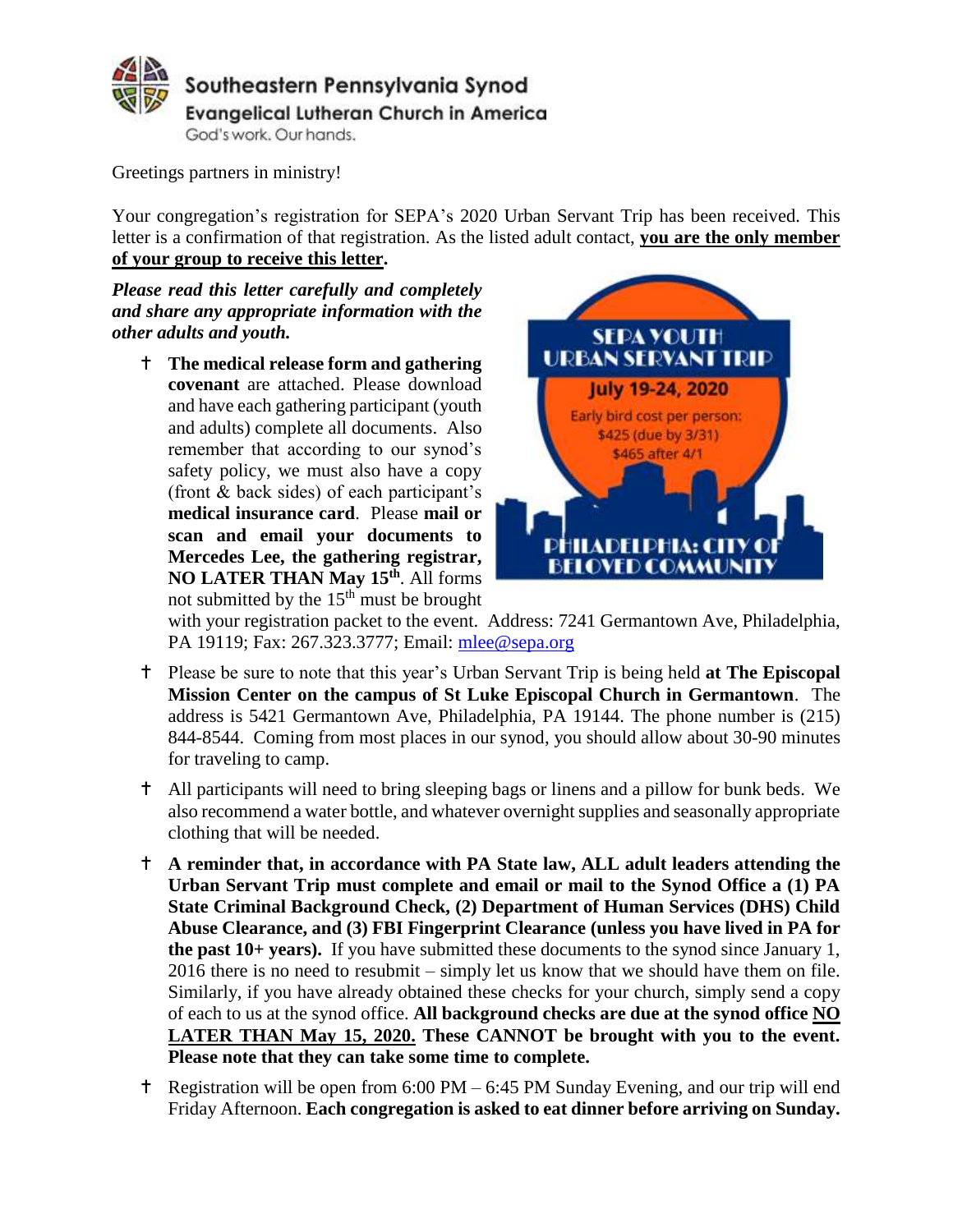

Greetings partners in ministry!

Your congregation's registration for SEPA's 2020 Urban Servant Trip has been received. This letter is a confirmation of that registration. As the listed adult contact, **you are the only member of your group to receive this letter.** 

*Please read this letter carefully and completely and share any appropriate information with the other adults and youth.*

 **The medical release form and gathering covenant** are attached. Please download and have each gathering participant (youth and adults) complete all documents. Also remember that according to our synod's safety policy, we must also have a copy (front & back sides) of each participant's **medical insurance card**. Please **mail or scan and email your documents to Mercedes Lee, the gathering registrar, NO LATER THAN May 15th** . All forms not submitted by the  $15<sup>th</sup>$  must be brought



with your registration packet to the event. Address: 7241 Germantown Ave, Philadelphia, PA 19119; Fax: 267.323.3777; Email: [mlee@sepa.org](mailto:mlee@sepa.org)

- Please be sure to note that this year's Urban Servant Trip is being held **at The Episcopal Mission Center on the campus of St Luke Episcopal Church in Germantown**. The address is 5421 Germantown Ave, Philadelphia, PA 19144. The phone number is (215) 844-8544. Coming from most places in our synod, you should allow about 30-90 minutes for traveling to camp.
- All participants will need to bring sleeping bags or linens and a pillow for bunk beds. We also recommend a water bottle, and whatever overnight supplies and seasonally appropriate clothing that will be needed.
- **A reminder that, in accordance with PA State law, ALL adult leaders attending the Urban Servant Trip must complete and email or mail to the Synod Office a (1) PA State Criminal Background Check, (2) Department of Human Services (DHS) Child Abuse Clearance, and (3) FBI Fingerprint Clearance (unless you have lived in PA for the past 10+ years).** If you have submitted these documents to the synod since January 1, 2016 there is no need to resubmit – simply let us know that we should have them on file. Similarly, if you have already obtained these checks for your church, simply send a copy of each to us at the synod office. **All background checks are due at the synod office NO LATER THAN May 15, 2020. These CANNOT be brought with you to the event. Please note that they can take some time to complete.**
- Registration will be open from 6:00 PM 6:45 PM Sunday Evening, and our trip will end Friday Afternoon. **Each congregation is asked to eat dinner before arriving on Sunday.**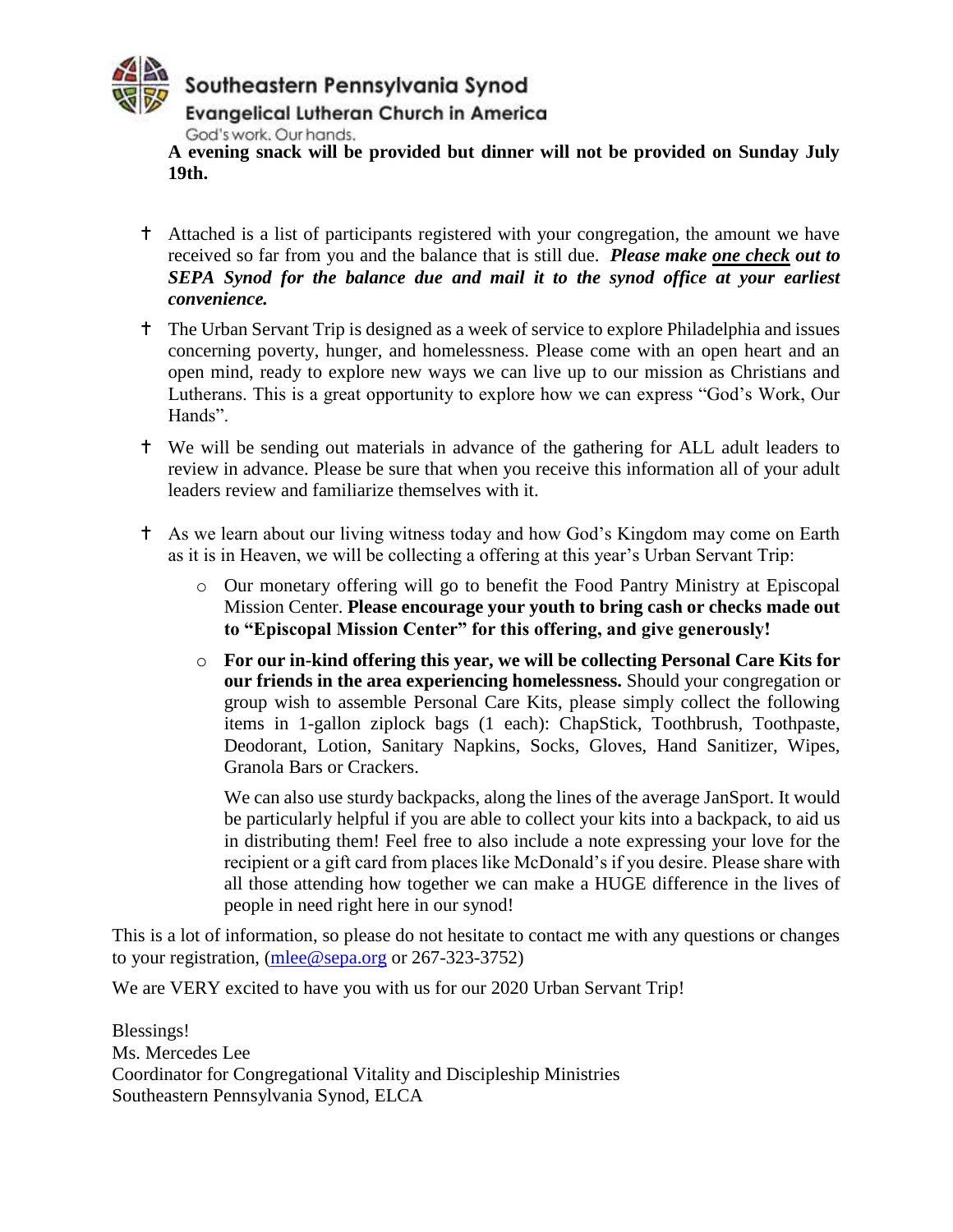

**A evening snack will be provided but dinner will not be provided on Sunday July 19th.**

- Attached is a list of participants registered with your congregation, the amount we have received so far from you and the balance that is still due. *Please make one check out to SEPA Synod for the balance due and mail it to the synod office at your earliest convenience.*
- The Urban Servant Trip is designed as a week of service to explore Philadelphia and issues concerning poverty, hunger, and homelessness. Please come with an open heart and an open mind, ready to explore new ways we can live up to our mission as Christians and Lutherans. This is a great opportunity to explore how we can express "God's Work, Our Hands".
- We will be sending out materials in advance of the gathering for ALL adult leaders to review in advance. Please be sure that when you receive this information all of your adult leaders review and familiarize themselves with it.
- As we learn about our living witness today and how God's Kingdom may come on Earth as it is in Heaven, we will be collecting a offering at this year's Urban Servant Trip:
	- o Our monetary offering will go to benefit the Food Pantry Ministry at Episcopal Mission Center. **Please encourage your youth to bring cash or checks made out to "Episcopal Mission Center" for this offering, and give generously!**
	- o **For our in-kind offering this year, we will be collecting Personal Care Kits for our friends in the area experiencing homelessness.** Should your congregation or group wish to assemble Personal Care Kits, please simply collect the following items in 1-gallon ziplock bags (1 each): ChapStick, Toothbrush, Toothpaste, Deodorant, Lotion, Sanitary Napkins, Socks, Gloves, Hand Sanitizer, Wipes, Granola Bars or Crackers.

We can also use sturdy backpacks, along the lines of the average JanSport. It would be particularly helpful if you are able to collect your kits into a backpack, to aid us in distributing them! Feel free to also include a note expressing your love for the recipient or a gift card from places like McDonald's if you desire. Please share with all those attending how together we can make a HUGE difference in the lives of people in need right here in our synod!

This is a lot of information, so please do not hesitate to contact me with any questions or changes to your registration, [\(mlee@sepa.org](mailto:mlee@sepa.org) or 267-323-3752)

We are VERY excited to have you with us for our 2020 Urban Servant Trip!

Blessings! Ms. Mercedes Lee Coordinator for Congregational Vitality and Discipleship Ministries Southeastern Pennsylvania Synod, ELCA